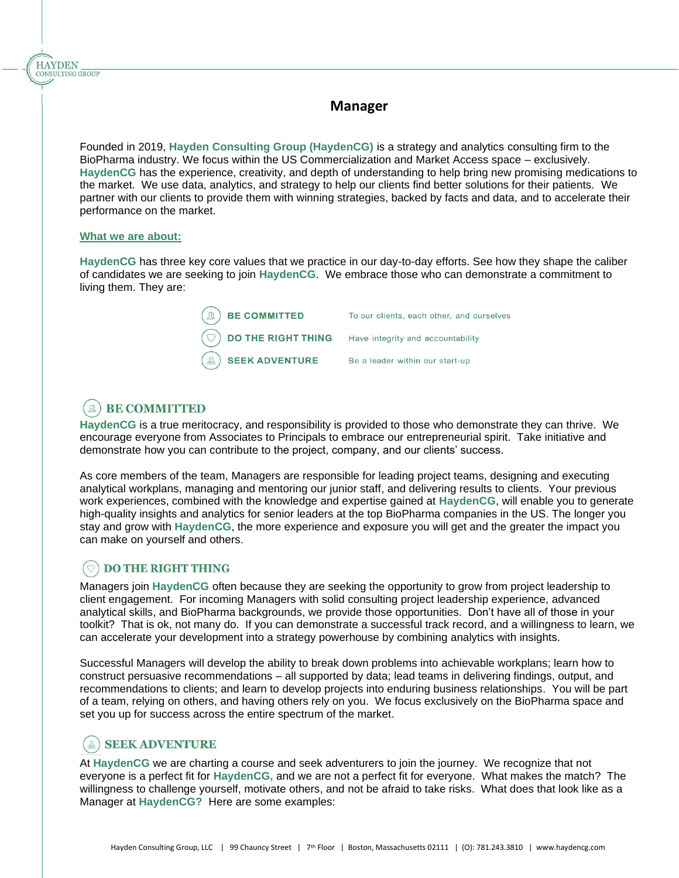## **Manager**

Founded in 2019, **Hayden Consulting Group (HaydenCG)** is a strategy and analytics consulting firm to the BioPharma industry. We focus within the US Commercialization and Market Access space – exclusively. **HaydenCG** has the experience, creativity, and depth of understanding to help bring new promising medications to the market. We use data, analytics, and strategy to help our clients find better solutions for their patients. We partner with our clients to provide them with winning strategies, backed by facts and data, and to accelerate their performance on the market.

#### **What we are about:**

**HAYDEN** CONSULTING GROUP

> **HaydenCG** has three key core values that we practice in our day-to-day efforts. See how they shape the caliber of candidates we are seeking to join **HaydenCG**. We embrace those who can demonstrate a commitment to living them. They are:

| $\left(\mathbb{R}\right)$ BE COMMITTED                             | To our clients, each other, and ourselves |
|--------------------------------------------------------------------|-------------------------------------------|
| $\circled{)}$ DO THE RIGHT THING Have integrity and accountability |                                           |
| $\mathbb{R}$ SEEK ADVENTURE                                        | Be a leader within our start-up           |

#### **BE COMMITTED** l m

**HaydenCG** is a true meritocracy, and responsibility is provided to those who demonstrate they can thrive. We encourage everyone from Associates to Principals to embrace our entrepreneurial spirit. Take initiative and demonstrate how you can contribute to the project, company, and our clients' success.

As core members of the team, Managers are responsible for leading project teams, designing and executing analytical workplans, managing and mentoring our junior staff, and delivering results to clients. Your previous work experiences, combined with the knowledge and expertise gained at **HaydenCG**, will enable you to generate high-quality insights and analytics for senior leaders at the top BioPharma companies in the US. The longer you stay and grow with **HaydenCG**, the more experience and exposure you will get and the greater the impact you can make on yourself and others.

## **DO THE RIGHT THING**

Managers join **HaydenCG** often because they are seeking the opportunity to grow from project leadership to client engagement. For incoming Managers with solid consulting project leadership experience, advanced analytical skills, and BioPharma backgrounds, we provide those opportunities. Don't have all of those in your toolkit? That is ok, not many do. If you can demonstrate a successful track record, and a willingness to learn, we can accelerate your development into a strategy powerhouse by combining analytics with insights.

Successful Managers will develop the ability to break down problems into achievable workplans; learn how to construct persuasive recommendations – all supported by data; lead teams in delivering findings, output, and recommendations to clients; and learn to develop projects into enduring business relationships. You will be part of a team, relying on others, and having others rely on you. We focus exclusively on the BioPharma space and set you up for success across the entire spectrum of the market.

# **SEEK ADVENTURE**

At **HaydenCG** we are charting a course and seek adventurers to join the journey. We recognize that not everyone is a perfect fit for **HaydenCG,** and we are not a perfect fit for everyone. What makes the match? The willingness to challenge yourself, motivate others, and not be afraid to take risks. What does that look like as a Manager at **HaydenCG?** Here are some examples: